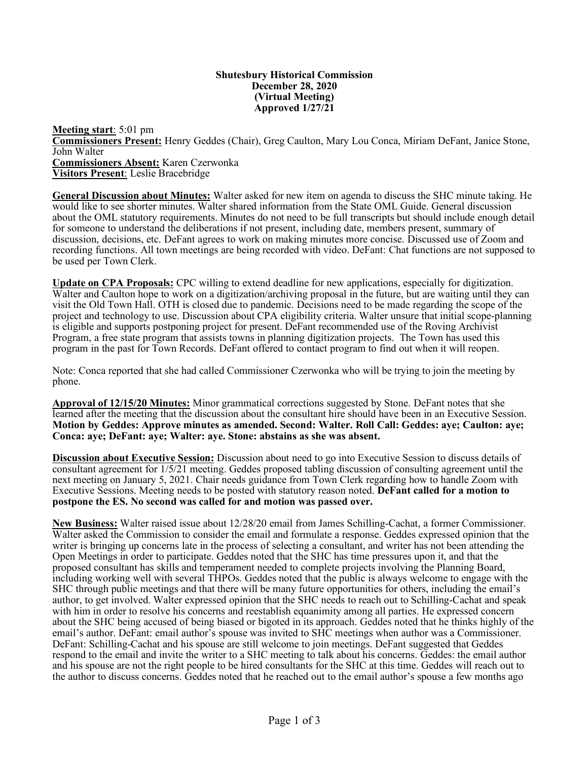#### **Shutesbury Historical Commission December 28, 2020 (Virtual Meeting) Approved 1/27/21**

**Meeting start**: 5:01 pm **Commissioners Present:** Henry Geddes (Chair), Greg Caulton, Mary Lou Conca, Miriam DeFant, Janice Stone, John Walter **Commissioners Absent:** Karen Czerwonka **Visitors Present**: Leslie Bracebridge

**General Discussion about Minutes:** Walter asked for new item on agenda to discuss the SHC minute taking. He would like to see shorter minutes. Walter shared information from the State OML Guide. General discussion about the OML statutory requirements. Minutes do not need to be full transcripts but should include enough detail for someone to understand the deliberations if not present, including date, members present, summary of discussion, decisions, etc. DeFant agrees to work on making minutes more concise. Discussed use of Zoom and recording functions. All town meetings are being recorded with video. DeFant: Chat functions are not supposed to be used per Town Clerk.

**Update on CPA Proposals:** CPC willing to extend deadline for new applications, especially for digitization. Walter and Caulton hope to work on a digitization/archiving proposal in the future, but are waiting until they can visit the Old Town Hall. OTH is closed due to pandemic. Decisions need to be made regarding the scope of the project and technology to use. Discussion about CPA eligibility criteria. Walter unsure that initial scope-planning is eligible and supports postponing project for present. DeFant recommended use of the Roving Archivist Program, a free state program that assists towns in planning digitization projects. The Town has used this program in the past for Town Records. DeFant offered to contact program to find out when it will reopen.

Note: Conca reported that she had called Commissioner Czerwonka who will be trying to join the meeting by phone.

**Approval of 12/15/20 Minutes:** Minor grammatical corrections suggested by Stone. DeFant notes that she learned after the meeting that the discussion about the consultant hire should have been in an Executive Session. **Motion by Geddes: Approve minutes as amended. Second: Walter. Roll Call: Geddes: aye; Caulton: aye; Conca: aye; DeFant: aye; Walter: aye. Stone: abstains as she was absent.** 

**Discussion about Executive Session:** Discussion about need to go into Executive Session to discuss details of consultant agreement for 1/5/21 meeting. Geddes proposed tabling discussion of consulting agreement until the next meeting on January 5, 2021. Chair needs guidance from Town Clerk regarding how to handle Zoom with Executive Sessions. Meeting needs to be posted with statutory reason noted. **DeFant called for a motion to postpone the ES. No second was called for and motion was passed over.**

**New Business:** Walter raised issue about 12/28/20 email from James Schilling-Cachat, a former Commissioner. Walter asked the Commission to consider the email and formulate a response. Geddes expressed opinion that the writer is bringing up concerns late in the process of selecting a consultant, and writer has not been attending the Open Meetings in order to participate. Geddes noted that the SHC has time pressures upon it, and that the proposed consultant has skills and temperament needed to complete projects involving the Planning Board, including working well with several THPOs. Geddes noted that the public is always welcome to engage with the SHC through public meetings and that there will be many future opportunities for others, including the email's author, to get involved. Walter expressed opinion that the SHC needs to reach out to Schilling-Cachat and speak with him in order to resolve his concerns and reestablish equanimity among all parties. He expressed concern about the SHC being accused of being biased or bigoted in its approach. Geddes noted that he thinks highly of the email's author. DeFant: email author's spouse was invited to SHC meetings when author was a Commissioner. DeFant: Schilling-Cachat and his spouse are still welcome to join meetings. DeFant suggested that Geddes respond to the email and invite the writer to a SHC meeting to talk about his concerns. Geddes: the email author and his spouse are not the right people to be hired consultants for the SHC at this time. Geddes will reach out to the author to discuss concerns. Geddes noted that he reached out to the email author's spouse a few months ago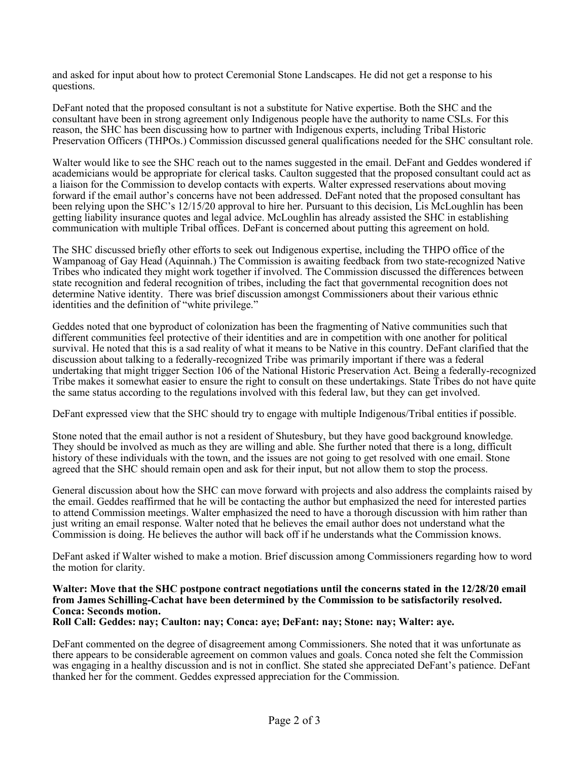and asked for input about how to protect Ceremonial Stone Landscapes. He did not get a response to his questions.

DeFant noted that the proposed consultant is not a substitute for Native expertise. Both the SHC and the consultant have been in strong agreement only Indigenous people have the authority to name CSLs. For this reason, the SHC has been discussing how to partner with Indigenous experts, including Tribal Historic Preservation Officers (THPOs.) Commission discussed general qualifications needed for the SHC consultant role.

Walter would like to see the SHC reach out to the names suggested in the email. DeFant and Geddes wondered if academicians would be appropriate for clerical tasks. Caulton suggested that the proposed consultant could act as a liaison for the Commission to develop contacts with experts. Walter expressed reservations about moving forward if the email author's concerns have not been addressed. DeFant noted that the proposed consultant has been relying upon the SHC's 12/15/20 approval to hire her. Pursuant to this decision, Lis McLoughlin has been getting liability insurance quotes and legal advice. McLoughlin has already assisted the SHC in establishing communication with multiple Tribal offices. DeFant is concerned about putting this agreement on hold.

The SHC discussed briefly other efforts to seek out Indigenous expertise, including the THPO office of the Wampanoag of Gay Head (Aquinnah.) The Commission is awaiting feedback from two state-recognized Native Tribes who indicated they might work together if involved. The Commission discussed the differences between state recognition and federal recognition of tribes, including the fact that governmental recognition does not determine Native identity. There was brief discussion amongst Commissioners about their various ethnic identities and the definition of "white privilege."

Geddes noted that one byproduct of colonization has been the fragmenting of Native communities such that different communities feel protective of their identities and are in competition with one another for political survival. He noted that this is a sad reality of what it means to be Native in this country. DeFant clarified that the discussion about talking to a federally-recognized Tribe was primarily important if there was a federal undertaking that might trigger Section 106 of the National Historic Preservation Act. Being a federally-recognized Tribe makes it somewhat easier to ensure the right to consult on these undertakings. State Tribes do not have quite the same status according to the regulations involved with this federal law, but they can get involved.

DeFant expressed view that the SHC should try to engage with multiple Indigenous/Tribal entities if possible.

Stone noted that the email author is not a resident of Shutesbury, but they have good background knowledge. They should be involved as much as they are willing and able. She further noted that there is a long, difficult history of these individuals with the town, and the issues are not going to get resolved with one email. Stone agreed that the SHC should remain open and ask for their input, but not allow them to stop the process.

General discussion about how the SHC can move forward with projects and also address the complaints raised by the email. Geddes reaffirmed that he will be contacting the author but emphasized the need for interested parties to attend Commission meetings. Walter emphasized the need to have a thorough discussion with him rather than just writing an email response. Walter noted that he believes the email author does not understand what the Commission is doing. He believes the author will back off if he understands what the Commission knows.

DeFant asked if Walter wished to make a motion. Brief discussion among Commissioners regarding how to word the motion for clarity.

# **Walter: Move that the SHC postpone contract negotiations until the concerns stated in the 12/28/20 email from James Schilling-Cachat have been determined by the Commission to be satisfactorily resolved. Conca: Seconds motion.**

**Roll Call: Geddes: nay; Caulton: nay; Conca: aye; DeFant: nay; Stone: nay; Walter: aye.**

DeFant commented on the degree of disagreement among Commissioners. She noted that it was unfortunate as there appears to be considerable agreement on common values and goals. Conca noted she felt the Commission was engaging in a healthy discussion and is not in conflict. She stated she appreciated DeFant's patience. DeFant thanked her for the comment. Geddes expressed appreciation for the Commission.